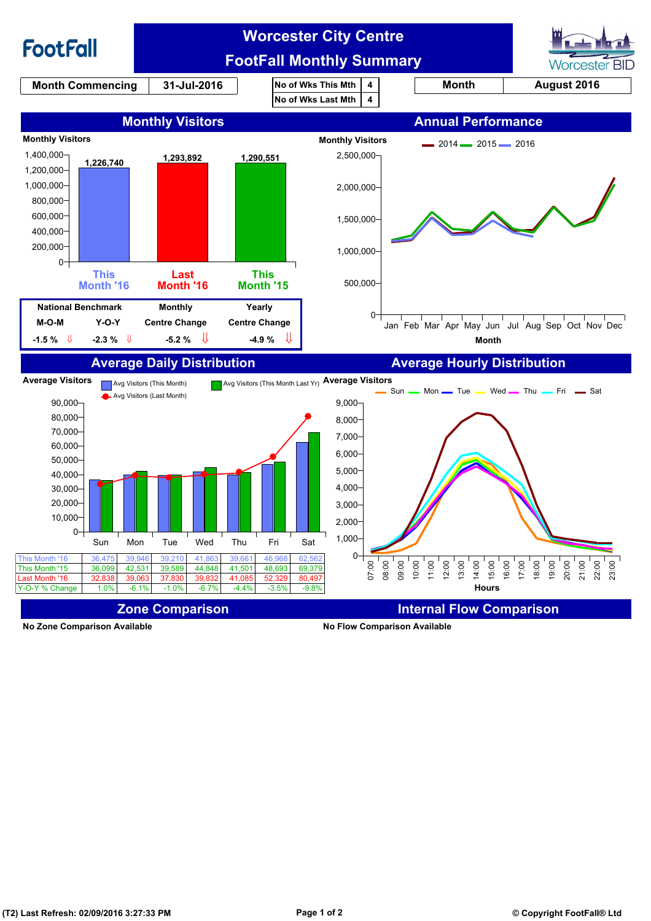

**No Zone Comparison Available No Flow Comparison Available**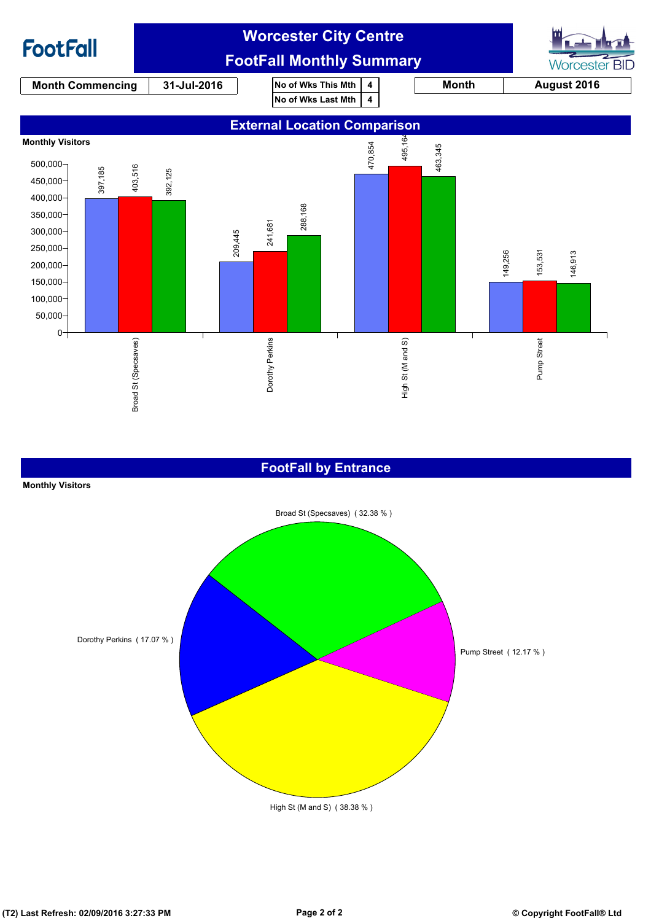

#### **FootFall by Entrance**

# Broad St (Specsaves) ( 32.38 % ) Dorothy Perkins ( 17.07 % ) High St (M and S) ( 38.38 % ) Pump Street ( 12.17 % )

**Monthly Visitors**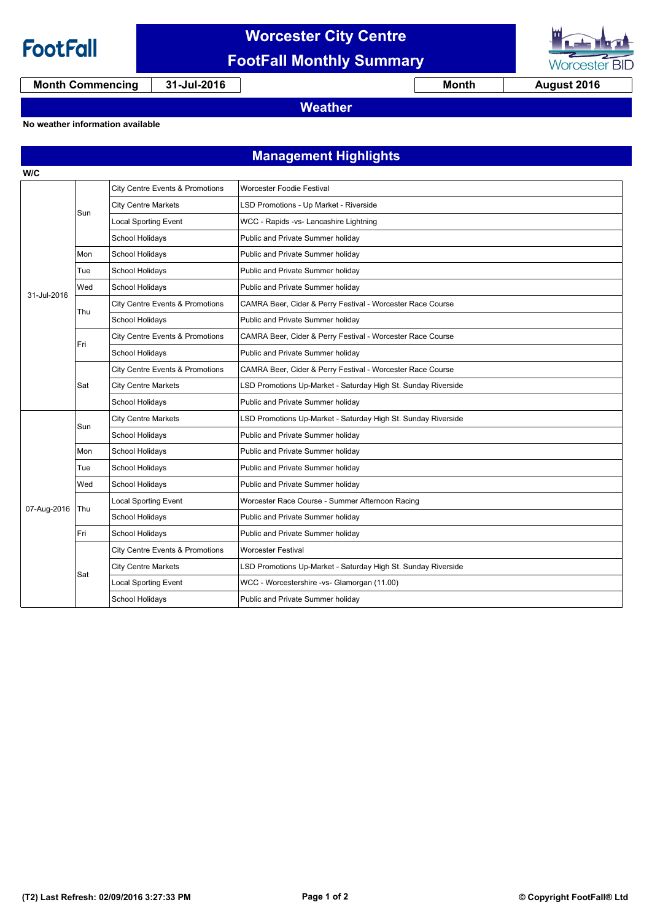

**W/C**

## **Worcester City Centre FootFall Monthly Summary**



**Month Commencing 31-Jul-2016 Month 1 August 2016** 

**Weather**

#### **No weather information available**

### **Management Highlights**

| 31-Jul-2016 | Sun | <b>City Centre Events &amp; Promotions</b> | <b>Worcester Foodie Festival</b>                              |
|-------------|-----|--------------------------------------------|---------------------------------------------------------------|
|             |     | <b>City Centre Markets</b>                 | LSD Promotions - Up Market - Riverside                        |
|             |     | <b>Local Sporting Event</b>                | WCC - Rapids -vs- Lancashire Lightning                        |
|             |     | School Holidays                            | Public and Private Summer holiday                             |
|             | Mon | School Holidays                            | Public and Private Summer holiday                             |
|             | Tue | School Holidays                            | Public and Private Summer holiday                             |
|             | Wed | School Holidays                            | Public and Private Summer holiday                             |
|             | Thu | City Centre Events & Promotions            | CAMRA Beer, Cider & Perry Festival - Worcester Race Course    |
|             |     | School Holidays                            | Public and Private Summer holiday                             |
|             | Fri | City Centre Events & Promotions            | CAMRA Beer, Cider & Perry Festival - Worcester Race Course    |
|             |     | School Holidays                            | Public and Private Summer holiday                             |
|             | Sat | City Centre Events & Promotions            | CAMRA Beer, Cider & Perry Festival - Worcester Race Course    |
|             |     | <b>City Centre Markets</b>                 | LSD Promotions Up-Market - Saturday High St. Sunday Riverside |
|             |     | School Holidays                            | Public and Private Summer holiday                             |
| 07-Aug-2016 | Sun | <b>City Centre Markets</b>                 | LSD Promotions Up-Market - Saturday High St. Sunday Riverside |
|             |     | School Holidays                            | Public and Private Summer holiday                             |
|             | Mon | School Holidays                            | Public and Private Summer holiday                             |
|             | Tue | School Holidays                            | Public and Private Summer holiday                             |
|             | Wed | School Holidays                            | Public and Private Summer holiday                             |
|             | Thu | <b>Local Sporting Event</b>                | Worcester Race Course - Summer Afternoon Racing               |
|             |     | School Holidays                            | Public and Private Summer holiday                             |
|             | Fri | School Holidays                            | Public and Private Summer holiday                             |
|             | Sat | <b>City Centre Events &amp; Promotions</b> | <b>Worcester Festival</b>                                     |
|             |     | <b>City Centre Markets</b>                 | LSD Promotions Up-Market - Saturday High St. Sunday Riverside |
|             |     | <b>Local Sporting Event</b>                | WCC - Worcestershire -vs- Glamorgan (11.00)                   |
|             |     | School Holidays                            | Public and Private Summer holiday                             |